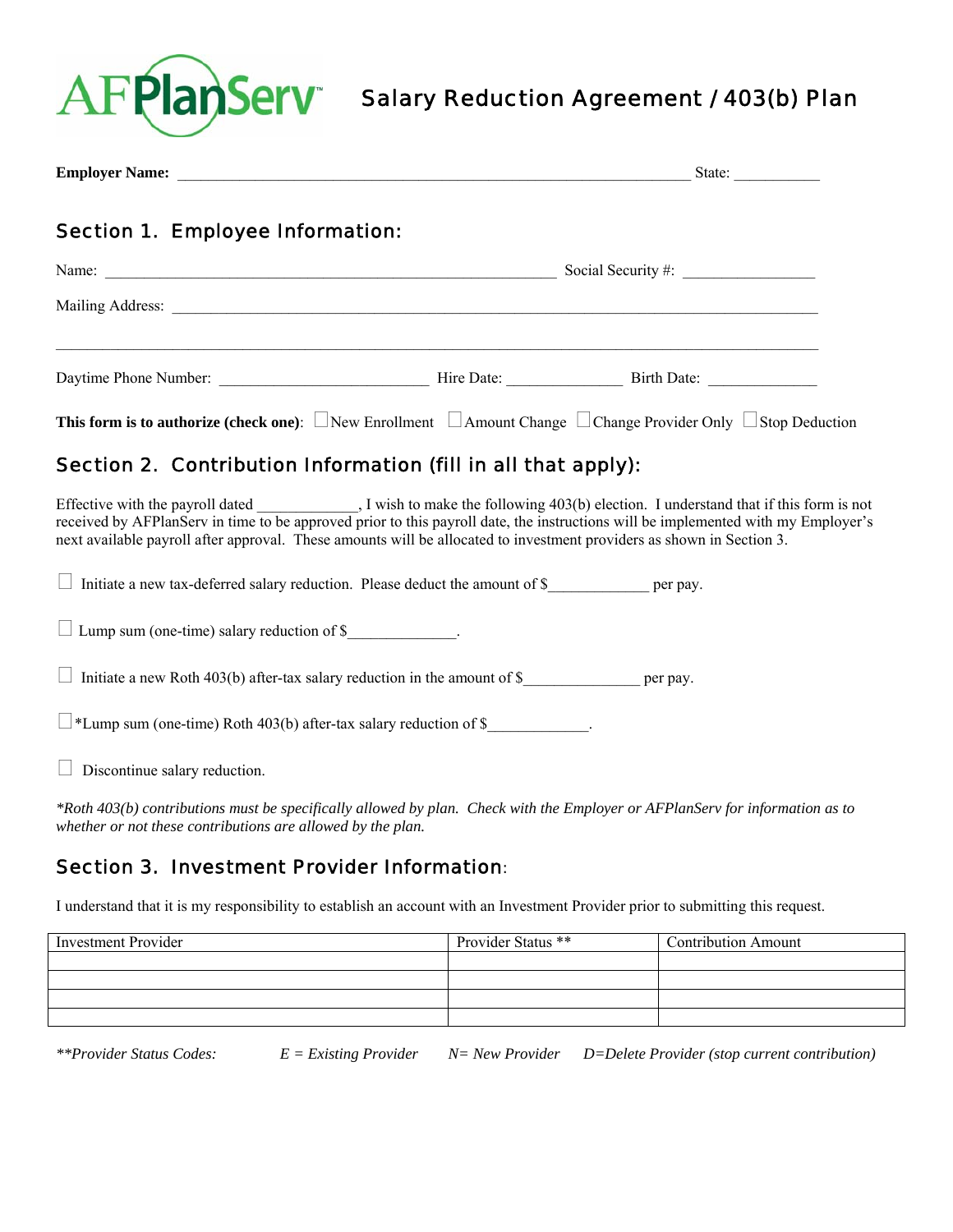

# Salary Reduction Agreement / 403(b) Plan

|                                                                                                                                                                                                                               |                                  | State: $\frac{1}{\sqrt{1-\frac{1}{2}} \cdot \frac{1}{2}}$ |  |
|-------------------------------------------------------------------------------------------------------------------------------------------------------------------------------------------------------------------------------|----------------------------------|-----------------------------------------------------------|--|
| <b>Section 1. Employee Information:</b>                                                                                                                                                                                       |                                  |                                                           |  |
|                                                                                                                                                                                                                               | Social Security #: $\frac{1}{2}$ |                                                           |  |
| Mailing Address: Lawrence and Contact and Contact and Contact and Contact and Contact and Contact and Contact and Contact and Contact and Contact and Contact and Contact and Contact and Contact and Contact and Contact and |                                  |                                                           |  |
|                                                                                                                                                                                                                               |                                  |                                                           |  |
| <b>This form is to authorize (check one)</b> : $\Box$ New Enrollment $\Box$ Amount Change $\Box$ Change Provider Only $\Box$ Stop Deduction                                                                                   |                                  |                                                           |  |

## Section 2. Contribution Information (fill in all that apply):

Effective with the payroll dated \_\_\_\_\_\_\_\_, I wish to make the following 403(b) election. I understand that if this form is not received by AFPlanServ in time to be approved prior to this payroll date, the instructions will be implemented with my Employer's next available payroll after approval. These amounts will be allocated to investment providers as shown in Section 3.

| Initiate a new tax-deferred salary reduction. Please deduct the amount of $\frac{1}{2}$ | per pay. |
|-----------------------------------------------------------------------------------------|----------|
| $\Box$ Lump sum (one-time) salary reduction of \$                                       |          |
| Initiate a new Roth 403(b) after-tax salary reduction in the amount of \$               | per pay. |
| $\Box$ *Lump sum (one-time) Roth 403(b) after-tax salary reduction of \$                |          |
| Discontinue salary reduction.                                                           |          |

*\*Roth 403(b) contributions must be specifically allowed by plan. Check with the Employer or AFPlanServ for information as to whether or not these contributions are allowed by the plan.* 

### Section 3. Investment Provider Information:

I understand that it is my responsibility to establish an account with an Investment Provider prior to submitting this request.

| <b>Investment Provider</b> | Provider Status ** | <b>Contribution Amount</b> |
|----------------------------|--------------------|----------------------------|
|                            |                    |                            |
|                            |                    |                            |
|                            |                    |                            |
|                            |                    |                            |

*\*\*Provider Status Codes: E = Existing Provider N= New Provider D=Delete Provider (stop current contribution)*